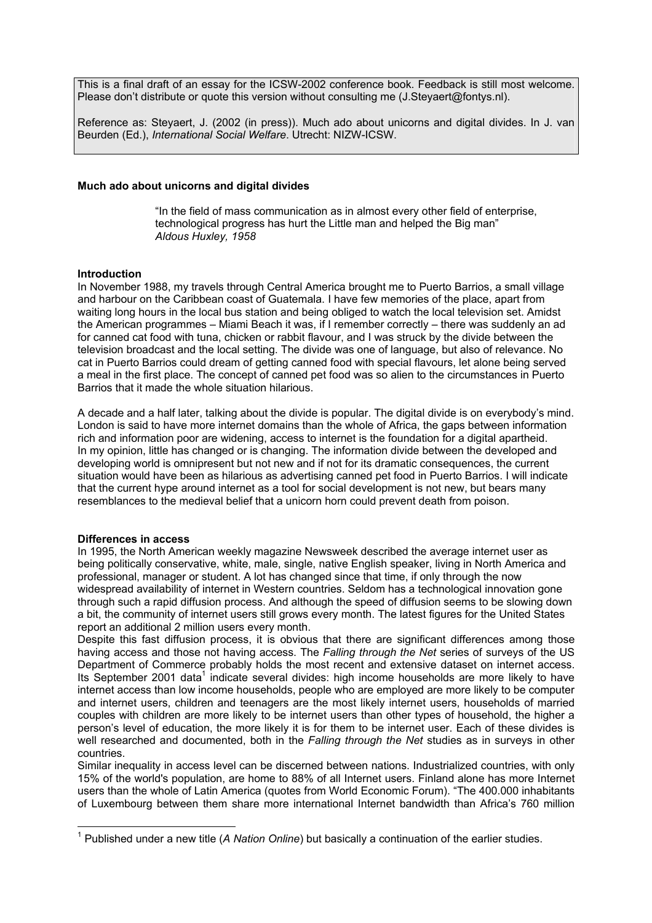This is a final draft of an essay for the ICSW-2002 conference book. Feedback is still most welcome. Please don't distribute or quote this version without consulting me (J.Steyaert@fontys.nl).

Reference as: Steyaert, J. (2002 (in press)). Much ado about unicorns and digital divides. In J. van Beurden (Ed.), *International Social Welfare*. Utrecht: NIZW-ICSW.

## **Much ado about unicorns and digital divides**

"In the field of mass communication as in almost every other field of enterprise, technological progress has hurt the Little man and helped the Big man" *Aldous Huxley, 1958* 

### **Introduction**

In November 1988, my travels through Central America brought me to Puerto Barrios, a small village and harbour on the Caribbean coast of Guatemala. I have few memories of the place, apart from waiting long hours in the local bus station and being obliged to watch the local television set. Amidst the American programmes – Miami Beach it was, if I remember correctly – there was suddenly an ad for canned cat food with tuna, chicken or rabbit flavour, and I was struck by the divide between the television broadcast and the local setting. The divide was one of language, but also of relevance. No cat in Puerto Barrios could dream of getting canned food with special flavours, let alone being served a meal in the first place. The concept of canned pet food was so alien to the circumstances in Puerto Barrios that it made the whole situation hilarious.

A decade and a half later, talking about the divide is popular. The digital divide is on everybody's mind. London is said to have more internet domains than the whole of Africa, the gaps between information rich and information poor are widening, access to internet is the foundation for a digital apartheid. In my opinion, little has changed or is changing. The information divide between the developed and developing world is omnipresent but not new and if not for its dramatic consequences, the current situation would have been as hilarious as advertising canned pet food in Puerto Barrios. I will indicate that the current hype around internet as a tool for social development is not new, but bears many resemblances to the medieval belief that a unicorn horn could prevent death from poison.

### **Differences in access**

1

In 1995, the North American weekly magazine Newsweek described the average internet user as being politically conservative, white, male, single, native English speaker, living in North America and professional, manager or student. A lot has changed since that time, if only through the now widespread availability of internet in Western countries. Seldom has a technological innovation gone through such a rapid diffusion process. And although the speed of diffusion seems to be slowing down a bit, the community of internet users still grows every month. The latest figures for the United States report an additional 2 million users every month.

Despite this fast diffusion process, it is obvious that there are significant differences among those having access and those not having access. The *Falling through the Net* series of surveys of the US Department of Commerce probably holds the most recent and extensive dataset on internet access. Its September 2001 data<sup>1</sup> indicate several divides: high income households are more likely to have internet access than low income households, people who are employed are more likely to be computer and internet users, children and teenagers are the most likely internet users, households of married couples with children are more likely to be internet users than other types of household, the higher a person's level of education, the more likely it is for them to be internet user. Each of these divides is well researched and documented, both in the *Falling through the Net* studies as in surveys in other countries.

Similar inequality in access level can be discerned between nations. Industrialized countries, with only 15% of the world's population, are home to 88% of all Internet users. Finland alone has more Internet users than the whole of Latin America (quotes from World Economic Forum). "The 400.000 inhabitants of Luxembourg between them share more international Internet bandwidth than Africa's 760 million

<span id="page-0-0"></span><sup>&</sup>lt;sup>1</sup> Published under a new title (A Nation Online) but basically a continuation of the earlier studies.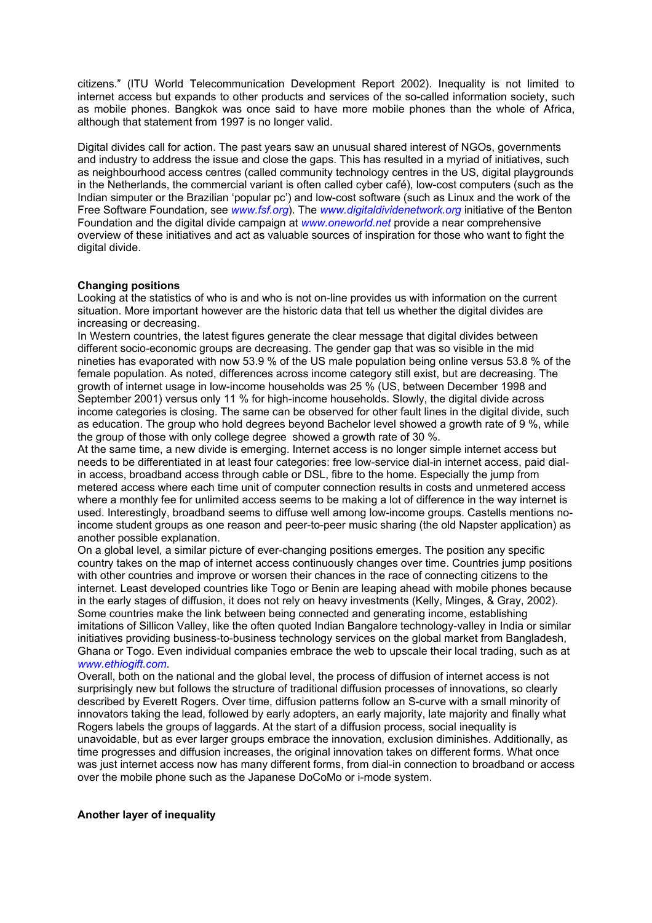citizens." (ITU World Telecommunication Development Report 2002). Inequality is not limited to internet access but expands to other products and services of the so-called information society, such as mobile phones. Bangkok was once said to have more mobile phones than the whole of Africa, although that statement from 1997 is no longer valid.

Digital divides call for action. The past years saw an unusual shared interest of NGOs, governments and industry to address the issue and close the gaps. This has resulted in a myriad of initiatives, such as neighbourhood access centres (called community technology centres in the US, digital playgrounds in the Netherlands, the commercial variant is often called cyber café), low-cost computers (such as the Indian simputer or the Brazilian 'popular pc') and low-cost software (such as Linux and the work of the Free Software Foundation, see *[www.fsf.org](http://www.fsf.org/)*). The *[www.digitaldividenetwork.org](http://www.digitaldividenetwork.org/)* initiative of the Benton Foundation and the digital divide campaign at *[www.oneworld.net](http://www.oneworld.net/)* provide a near comprehensive overview of these initiatives and act as valuable sources of inspiration for those who want to fight the digital divide.

# **Changing positions**

Looking at the statistics of who is and who is not on-line provides us with information on the current situation. More important however are the historic data that tell us whether the digital divides are increasing or decreasing.

In Western countries, the latest figures generate the clear message that digital divides between different socio-economic groups are decreasing. The gender gap that was so visible in the mid nineties has evaporated with now 53.9 % of the US male population being online versus 53.8 % of the female population. As noted, differences across income category still exist, but are decreasing. The growth of internet usage in low-income households was 25 % (US, between December 1998 and September 2001) versus only 11 % for high-income households. Slowly, the digital divide across income categories is closing. The same can be observed for other fault lines in the digital divide, such as education. The group who hold degrees beyond Bachelor level showed a growth rate of 9 %, while the group of those with only college degree showed a growth rate of 30 %.

At the same time, a new divide is emerging. Internet access is no longer simple internet access but needs to be differentiated in at least four categories: free low-service dial-in internet access, paid dialin access, broadband access through cable or DSL, fibre to the home. Especially the jump from metered access where each time unit of computer connection results in costs and unmetered access where a monthly fee for unlimited access seems to be making a lot of difference in the way internet is used. Interestingly, broadband seems to diffuse well among low-income groups. Castells mentions noincome student groups as one reason and peer-to-peer music sharing (the old Napster application) as another possible explanation.

On a global level, a similar picture of ever-changing positions emerges. The position any specific country takes on the map of internet access continuously changes over time. Countries jump positions with other countries and improve or worsen their chances in the race of connecting citizens to the internet. Least developed countries like Togo or Benin are leaping ahead with mobile phones because in the early stages of diffusion, it does not rely on heavy investments (Kelly, Minges, & Gray, 2002). Some countries make the link between being connected and generating income, establishing imitations of Sillicon Valley, like the often quoted Indian Bangalore technology-valley in India or similar initiatives providing business-to-business technology services on the global market from Bangladesh, Ghana or Togo. Even individual companies embrace the web to upscale their local trading, such as at *[www.ethiogift.com](http://www.ethiogift.com/)*.

Overall, both on the national and the global level, the process of diffusion of internet access is not surprisingly new but follows the structure of traditional diffusion processes of innovations, so clearly described by Everett Rogers. Over time, diffusion patterns follow an S-curve with a small minority of innovators taking the lead, followed by early adopters, an early majority, late majority and finally what Rogers labels the groups of laggards. At the start of a diffusion process, social inequality is unavoidable, but as ever larger groups embrace the innovation, exclusion diminishes. Additionally, as time progresses and diffusion increases, the original innovation takes on different forms. What once was just internet access now has many different forms, from dial-in connection to broadband or access over the mobile phone such as the Japanese DoCoMo or i-mode system.

### **Another layer of inequality**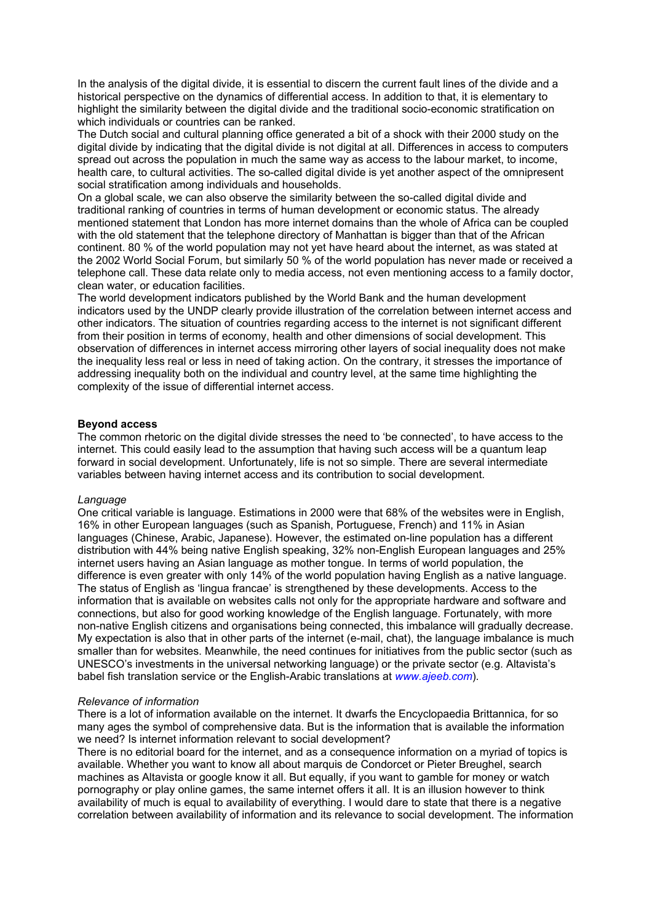In the analysis of the digital divide, it is essential to discern the current fault lines of the divide and a historical perspective on the dynamics of differential access. In addition to that, it is elementary to highlight the similarity between the digital divide and the traditional socio-economic stratification on which individuals or countries can be ranked.

The Dutch social and cultural planning office generated a bit of a shock with their 2000 study on the digital divide by indicating that the digital divide is not digital at all. Differences in access to computers spread out across the population in much the same way as access to the labour market, to income, health care, to cultural activities. The so-called digital divide is yet another aspect of the omnipresent social stratification among individuals and households.

On a global scale, we can also observe the similarity between the so-called digital divide and traditional ranking of countries in terms of human development or economic status. The already mentioned statement that London has more internet domains than the whole of Africa can be coupled with the old statement that the telephone directory of Manhattan is bigger than that of the African continent. 80 % of the world population may not yet have heard about the internet, as was stated at the 2002 World Social Forum, but similarly 50 % of the world population has never made or received a telephone call. These data relate only to media access, not even mentioning access to a family doctor, clean water, or education facilities.

The world development indicators published by the World Bank and the human development indicators used by the UNDP clearly provide illustration of the correlation between internet access and other indicators. The situation of countries regarding access to the internet is not significant different from their position in terms of economy, health and other dimensions of social development. This observation of differences in internet access mirroring other layers of social inequality does not make the inequality less real or less in need of taking action. On the contrary, it stresses the importance of addressing inequality both on the individual and country level, at the same time highlighting the complexity of the issue of differential internet access.

### **Beyond access**

The common rhetoric on the digital divide stresses the need to 'be connected', to have access to the internet. This could easily lead to the assumption that having such access will be a quantum leap forward in social development. Unfortunately, life is not so simple. There are several intermediate variables between having internet access and its contribution to social development.

#### *Language*

One critical variable is language. Estimations in 2000 were that 68% of the websites were in English, 16% in other European languages (such as Spanish, Portuguese, French) and 11% in Asian languages (Chinese, Arabic, Japanese). However, the estimated on-line population has a different distribution with 44% being native English speaking, 32% non-English European languages and 25% internet users having an Asian language as mother tongue. In terms of world population, the difference is even greater with only 14% of the world population having English as a native language. The status of English as 'lingua francae' is strengthened by these developments. Access to the information that is available on websites calls not only for the appropriate hardware and software and connections, but also for good working knowledge of the English language. Fortunately, with more non-native English citizens and organisations being connected, this imbalance will gradually decrease. My expectation is also that in other parts of the internet (e-mail, chat), the language imbalance is much smaller than for websites. Meanwhile, the need continues for initiatives from the public sector (such as UNESCO's investments in the universal networking language) or the private sector (e.g. Altavista's babel fish translation service or the English-Arabic translations at *[www.ajeeb.com](http://www.ajeeb.com/)*).

#### *Relevance of information*

There is a lot of information available on the internet. It dwarfs the Encyclopaedia Brittannica, for so many ages the symbol of comprehensive data. But is the information that is available the information we need? Is internet information relevant to social development?

There is no editorial board for the internet, and as a consequence information on a myriad of topics is available. Whether you want to know all about marquis de Condorcet or Pieter Breughel, search machines as Altavista or google know it all. But equally, if you want to gamble for money or watch pornography or play online games, the same internet offers it all. It is an illusion however to think availability of much is equal to availability of everything. I would dare to state that there is a negative correlation between availability of information and its relevance to social development. The information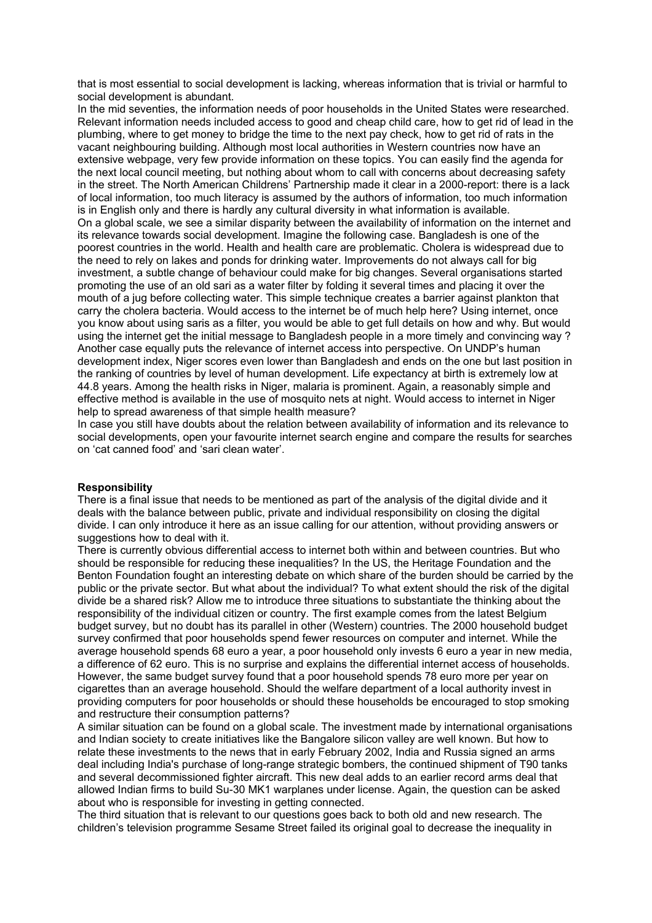that is most essential to social development is lacking, whereas information that is trivial or harmful to social development is abundant.

In the mid seventies, the information needs of poor households in the United States were researched. Relevant information needs included access to good and cheap child care, how to get rid of lead in the plumbing, where to get money to bridge the time to the next pay check, how to get rid of rats in the vacant neighbouring building. Although most local authorities in Western countries now have an extensive webpage, very few provide information on these topics. You can easily find the agenda for the next local council meeting, but nothing about whom to call with concerns about decreasing safety in the street. The North American Childrens' Partnership made it clear in a 2000-report: there is a lack of local information, too much literacy is assumed by the authors of information, too much information is in English only and there is hardly any cultural diversity in what information is available. On a global scale, we see a similar disparity between the availability of information on the internet and its relevance towards social development. Imagine the following case. Bangladesh is one of the poorest countries in the world. Health and health care are problematic. Cholera is widespread due to the need to rely on lakes and ponds for drinking water. Improvements do not always call for big investment, a subtle change of behaviour could make for big changes. Several organisations started promoting the use of an old sari as a water filter by folding it several times and placing it over the mouth of a jug before collecting water. This simple technique creates a barrier against plankton that carry the cholera bacteria. Would access to the internet be of much help here? Using internet, once you know about using saris as a filter, you would be able to get full details on how and why. But would using the internet get the initial message to Bangladesh people in a more timely and convincing way ? Another case equally puts the relevance of internet access into perspective. On UNDP's human development index, Niger scores even lower than Bangladesh and ends on the one but last position in the ranking of countries by level of human development. Life expectancy at birth is extremely low at 44.8 years. Among the health risks in Niger, malaria is prominent. Again, a reasonably simple and effective method is available in the use of mosquito nets at night. Would access to internet in Niger help to spread awareness of that simple health measure?

In case you still have doubts about the relation between availability of information and its relevance to social developments, open your favourite internet search engine and compare the results for searches on 'cat canned food' and 'sari clean water'.

#### **Responsibility**

There is a final issue that needs to be mentioned as part of the analysis of the digital divide and it deals with the balance between public, private and individual responsibility on closing the digital divide. I can only introduce it here as an issue calling for our attention, without providing answers or suggestions how to deal with it.

There is currently obvious differential access to internet both within and between countries. But who should be responsible for reducing these inequalities? In the US, the Heritage Foundation and the Benton Foundation fought an interesting debate on which share of the burden should be carried by the public or the private sector. But what about the individual? To what extent should the risk of the digital divide be a shared risk? Allow me to introduce three situations to substantiate the thinking about the responsibility of the individual citizen or country. The first example comes from the latest Belgium budget survey, but no doubt has its parallel in other (Western) countries. The 2000 household budget survey confirmed that poor households spend fewer resources on computer and internet. While the average household spends 68 euro a year, a poor household only invests 6 euro a year in new media, a difference of 62 euro. This is no surprise and explains the differential internet access of households. However, the same budget survey found that a poor household spends 78 euro more per year on cigarettes than an average household. Should the welfare department of a local authority invest in providing computers for poor households or should these households be encouraged to stop smoking and restructure their consumption patterns?

A similar situation can be found on a global scale. The investment made by international organisations and Indian society to create initiatives like the Bangalore silicon valley are well known. But how to relate these investments to the news that in early February 2002, India and Russia signed an arms deal including India's purchase of long-range strategic bombers, the continued shipment of T90 tanks and several decommissioned fighter aircraft. This new deal adds to an earlier record arms deal that allowed Indian firms to build Su-30 MK1 warplanes under license. Again, the question can be asked about who is responsible for investing in getting connected.

The third situation that is relevant to our questions goes back to both old and new research. The children's television programme Sesame Street failed its original goal to decrease the inequality in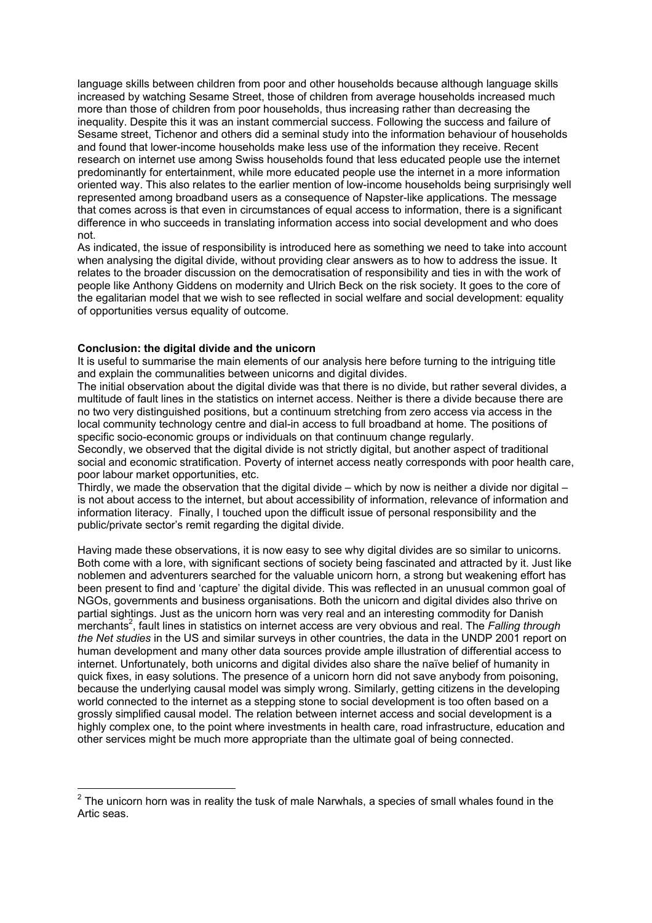language skills between children from poor and other households because although language skills increased by watching Sesame Street, those of children from average households increased much more than those of children from poor households, thus increasing rather than decreasing the inequality. Despite this it was an instant commercial success. Following the success and failure of Sesame street, Tichenor and others did a seminal study into the information behaviour of households and found that lower-income households make less use of the information they receive. Recent research on internet use among Swiss households found that less educated people use the internet predominantly for entertainment, while more educated people use the internet in a more information oriented way. This also relates to the earlier mention of low-income households being surprisingly well represented among broadband users as a consequence of Napster-like applications. The message that comes across is that even in circumstances of equal access to information, there is a significant difference in who succeeds in translating information access into social development and who does not.

As indicated, the issue of responsibility is introduced here as something we need to take into account when analysing the digital divide, without providing clear answers as to how to address the issue. It relates to the broader discussion on the democratisation of responsibility and ties in with the work of people like Anthony Giddens on modernity and Ulrich Beck on the risk society. It goes to the core of the egalitarian model that we wish to see reflected in social welfare and social development: equality of opportunities versus equality of outcome.

### **Conclusion: the digital divide and the unicorn**

1

It is useful to summarise the main elements of our analysis here before turning to the intriguing title and explain the communalities between unicorns and digital divides.

The initial observation about the digital divide was that there is no divide, but rather several divides, a multitude of fault lines in the statistics on internet access. Neither is there a divide because there are no two very distinguished positions, but a continuum stretching from zero access via access in the local community technology centre and dial-in access to full broadband at home. The positions of specific socio-economic groups or individuals on that continuum change regularly.

Secondly, we observed that the digital divide is not strictly digital, but another aspect of traditional social and economic stratification. Poverty of internet access neatly corresponds with poor health care, poor labour market opportunities, etc.

Thirdly, we made the observation that the digital divide – which by now is neither a divide nor digital – is not about access to the internet, but about accessibility of information, relevance of information and information literacy. Finally, I touched upon the difficult issue of personal responsibility and the public/private sector's remit regarding the digital divide.

Having made these observations, it is now easy to see why digital divides are so similar to unicorns. Both come with a lore, with significant sections of society being fascinated and attracted by it. Just like noblemen and adventurers searched for the valuable unicorn horn, a strong but weakening effort has been present to find and 'capture' the digital divide. This was reflected in an unusual common goal of NGOs, governments and business organisations. Both the unicorn and digital divides also thrive on partial sightings. Just as the unicorn horn was very real and an interesting commodity for Danish merchant[s2](#page-4-0) , fault lines in statistics on internet access are very obvious and real. The *Falling through the Net studies* in the US and similar surveys in other countries, the data in the UNDP 2001 report on human development and many other data sources provide ample illustration of differential access to internet. Unfortunately, both unicorns and digital divides also share the naïve belief of humanity in quick fixes, in easy solutions. The presence of a unicorn horn did not save anybody from poisoning, because the underlying causal model was simply wrong. Similarly, getting citizens in the developing world connected to the internet as a stepping stone to social development is too often based on a grossly simplified causal model. The relation between internet access and social development is a highly complex one, to the point where investments in health care, road infrastructure, education and other services might be much more appropriate than the ultimate goal of being connected.

<span id="page-4-0"></span> $2$  The unicorn horn was in reality the tusk of male Narwhals, a species of small whales found in the Artic seas.